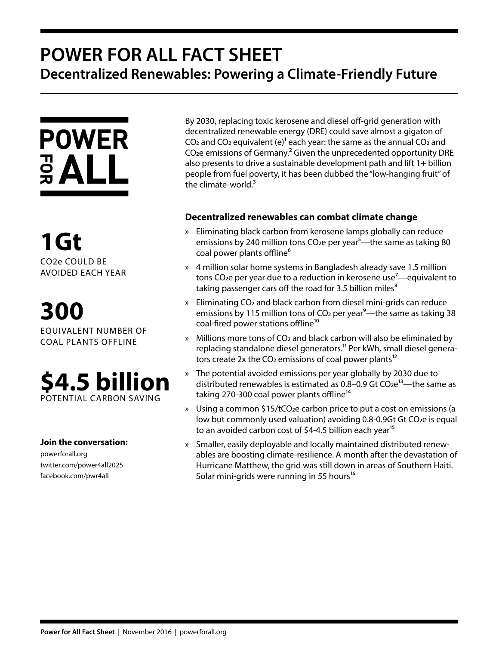# **POWER FOR ALL FACT SHEET Decentralized Renewables: Powering a Climate-Friendly Future**



**1Gt** CO2e COULD BE AVOIDED EACH YEAR

**300** EQUIVALENT NUMBER OF COAL PLANTS OFFLINE



### **Join the conversation:**

powerforall.org twitter.com/power4all2025 facebook.com/pwr4all

By 2030, replacing toxic kerosene and diesel off-grid generation with decentralized renewable energy (DRE) could save almost a gigaton of CO<sub>2</sub> and CO<sub>2</sub> equivalent (e)<sup>1</sup> each year: the same as the annual CO<sub>2</sub> and CO<sub>2</sub>e emissions of Germany.<sup>2</sup> Given the unprecedented opportunity DRE also presents to drive a sustainable development path and lift 1+ billion people from fuel poverty, it has been dubbed the "low-hanging fruit" of the climate-world. $3$ 

## **Decentralized renewables can combat climate change**

- » Eliminating black carbon from kerosene lamps globally can reduce emissions by 240 million tons  $CO<sub>2</sub>e$  per year<sup>5</sup>—the same as taking 80 coal power plants offline<sup>6</sup>
- » 4 million solar home systems in Bangladesh already save 1.5 million tons CO<sub>2</sub>e per year due to a reduction in kerosene use<sup>7</sup>—equivalent to taking passenger cars off the road for 3.5 billion miles $<sup>8</sup>$ </sup>
- » Eliminating CO2 and black carbon from diesel mini-grids can reduce emissions by 115 million tons of CO<sub>2</sub> per year<sup>9</sup>—the same as taking 38 coal-fired power stations offline<sup>10</sup>
- » Millions more tons of CO2 and black carbon will also be eliminated by replacing standalone diesel generators.<sup>11</sup> Per kWh, small diesel generators create 2x the  $CO<sub>2</sub>$  emissions of coal power plants<sup>12</sup>
- » The potential avoided emissions per year globally by 2030 due to distributed renewables is estimated as  $0.8-0.9$  Gt  $CO<sub>2</sub>e<sup>13</sup>$ —the same as taking 270-300 coal power plants offline<sup>14</sup>
- » Using a common \$15/tCO<sub>2</sub>e carbon price to put a cost on emissions (a low but commonly used valuation) avoiding 0.8-0.9Gt Gt CO2e is equal to an avoided carbon cost of \$4-4.5 billion each year<sup>15</sup>
- » Smaller, easily deployable and locally maintained distributed renewables are boosting climate-resilience. A month after the devastation of Hurricane Matthew, the grid was still down in areas of Southern Haiti. Solar mini-grids were running in 55 hours<sup>16</sup>